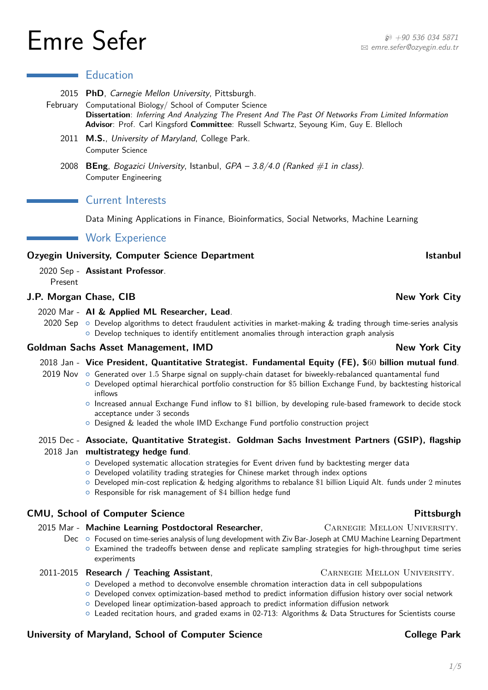# $\mathsf{Emre}$  Sefer  $\mathsf{S}$

1[/5](#page-4-0)

### **Education**

- 2015 **PhD**, Carnegie Mellon University, Pittsburgh.
- February Computational Biology/ School of Computer Science **Dissertation**: Inferring And Analyzing The Present And The Past Of Networks From Limited Information **Advisor**: Prof. Carl Kingsford **Committee**: Russell Schwartz, Seyoung Kim, Guy E. Blelloch
	- 2011 **M.S.**, University of Maryland, College Park. Computer Science
	- 2008 **BEng**, Bogazici University, Istanbul, GPA 3.8/4.0 (Ranked #1 in class). Computer Engineering

### Current Interests

Data Mining Applications in Finance, Bioinformatics, Social Networks, Machine Learning

### **Work Experience**

### **Ozyegin University, Computer Science Department Computer Science Department Computer Science Department Computer Science Department Computer Science Department Computer Science Department Computer Science Department Compu**

2020 Sep - **Assistant Professor**. Present

### **J.P. Morgan Chase, CIB New York City**

- 2020 Mar **AI & Applied ML Researcher, Lead**.
	- 2020 Sep  $\,\circ\,$  Develop algorithms to detect fraudulent activities in market-making & trading through time-series analysis  $\circ$  Develop techniques to identify entitlement anomalies through interaction graph analysis

### **Goldman Sachs Asset Management, IMD** New York City

- 2018 Jan **Vice President, Quantitative Strategist. Fundamental Equity (FE), \$**60 **billion mutual fund**.
- 2019 Nov { Generated over 1*.*5 Sharpe signal on supply-chain dataset for biweekly-rebalanced quantamental fund { Developed optimal hierarchical portfolio construction for \$5 billion Exchange Fund, by backtesting historical inflows
	- { Increased annual Exchange Fund inflow to \$1 billion, by developing rule-based framework to decide stock acceptance under 3 seconds
	- { Designed & leaded the whole IMD Exchange Fund portfolio construction project

### 2015 Dec - **Associate, Quantitative Strategist. Goldman Sachs Investment Partners (GSIP), flagship** 2018 Jan **multistrategy hedge fund**.

- { Developed systematic allocation strategies for Event driven fund by backtesting merger data
- { Developed volatility trading strategies for Chinese market through index options
- $\circ$  Developed min-cost replication & hedging algorithms to rebalance \$1 billion Liquid Alt. funds under 2 minutes  $\circ$  Responsible for risk management of \$4 billion hedge fund

### **CMU, School of Computer Science And Activity and Activity and Activity Pittsburgh**

## 2015 Mar - Machine Learning Postdoctoral Researcher, **CARNEGIE MELLON UNIVERSITY.**

Dec o Focused on time-series analysis of lung development with Ziv Bar-Joseph at CMU Machine Learning Department { Examined the tradeoffs between dense and replicate sampling strategies for high-throughput time series experiments

### 2011-2015 **Research / Teaching Assistant**, Carnegie Mellon University.

 $\circ$  Developed a method to deconvolve ensemble chromation interaction data in cell subpopulations

{ Developed convex optimization-based method to predict information diffusion history over social network

- { Developed linear optimization-based approach to predict information diffusion network
- { Leaded recitation hours, and graded exams in 02-713: Algorithms & Data Structures for Scientists course

### University of Maryland, School of Computer Science **College Park** College Park

B [emre.sefer@ozyegin.edu.tr](mailto:emre.sefer@ozyegin.edu.tr)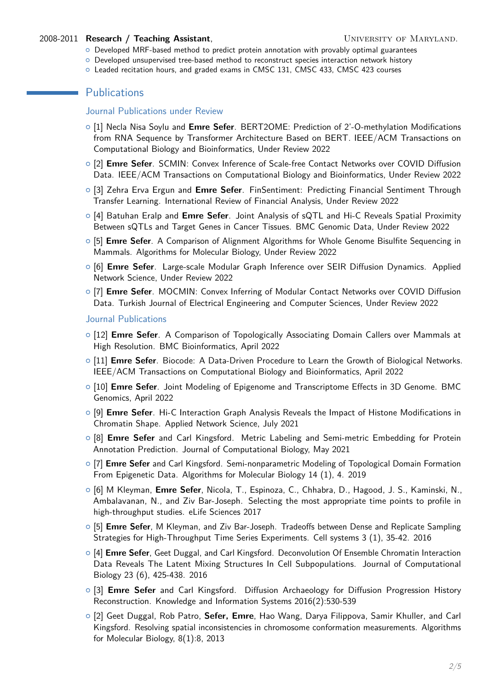### 2008-2011 **Research / Teaching Assistant**, **Example 2008-2011 <b>Research / Teaching Assistant**,

- $\circ$  Developed MRF-based method to predict protein annotation with provably optimal guarantees
- { Developed unsupervised tree-based method to reconstruct species interaction network history
- { Leaded recitation hours, and graded exams in CMSC 131, CMSC 433, CMSC 423 courses

### **Publications**

### Journal Publications under Review

- { [1] Necla Nisa Soylu and **Emre Sefer**. BERT2OME: Prediction of 2'-O-methylation Modifications from RNA Sequence by Transformer Architecture Based on BERT. IEEE/ACM Transactions on Computational Biology and Bioinformatics, Under Review 2022
- { [2] **Emre Sefer**. SCMIN: Convex Inference of Scale-free Contact Networks over COVID Diffusion Data. IEEE/ACM Transactions on Computational Biology and Bioinformatics, Under Review 2022
- { [3] Zehra Erva Ergun and **Emre Sefer**. FinSentiment: Predicting Financial Sentiment Through Transfer Learning. International Review of Financial Analysis, Under Review 2022
- { [4] Batuhan Eralp and **Emre Sefer**. Joint Analysis of sQTL and Hi-C Reveals Spatial Proximity Between sQTLs and Target Genes in Cancer Tissues. BMC Genomic Data, Under Review 2022
- { [5] **Emre Sefer**. A Comparison of Alignment Algorithms for Whole Genome Bisulfite Sequencing in Mammals. Algorithms for Molecular Biology, Under Review 2022
- { [6] **Emre Sefer**. Large-scale Modular Graph Inference over SEIR Diffusion Dynamics. Applied Network Science, Under Review 2022
- { [7] **Emre Sefer**. MOCMIN: Convex Inferring of Modular Contact Networks over COVID Diffusion Data. Turkish Journal of Electrical Engineering and Computer Sciences, Under Review 2022

### Journal Publications

- { [12] **Emre Sefer**. A Comparison of Topologically Associating Domain Callers over Mammals at High Resolution. BMC Bioinformatics, April 2022
- { [11] **Emre Sefer**. Biocode: A Data-Driven Procedure to Learn the Growth of Biological Networks. IEEE/ACM Transactions on Computational Biology and Bioinformatics, April 2022
- { [10] **Emre Sefer**. Joint Modeling of Epigenome and Transcriptome Effects in 3D Genome. BMC Genomics, April 2022
- { [9] **Emre Sefer**. Hi-C Interaction Graph Analysis Reveals the Impact of Histone Modifications in Chromatin Shape. Applied Network Science, July 2021
- { [8] **Emre Sefer** and Carl Kingsford. Metric Labeling and Semi-metric Embedding for Protein Annotation Prediction. Journal of Computational Biology, May 2021
- { [7] **Emre Sefer** and Carl Kingsford. Semi-nonparametric Modeling of Topological Domain Formation From Epigenetic Data. Algorithms for Molecular Biology 14 (1), 4. 2019
- { [6] M Kleyman, **Emre Sefer**, Nicola, T., Espinoza, C., Chhabra, D., Hagood, J. S., Kaminski, N., Ambalavanan, N., and Ziv Bar-Joseph. Selecting the most appropriate time points to profile in high-throughput studies. eLife Sciences 2017
- { [5] **Emre Sefer**, M Kleyman, and Ziv Bar-Joseph. Tradeoffs between Dense and Replicate Sampling Strategies for High-Throughput Time Series Experiments. Cell systems 3 (1), 35-42. 2016
- { [4] **Emre Sefer**, Geet Duggal, and Carl Kingsford. Deconvolution Of Ensemble Chromatin Interaction Data Reveals The Latent Mixing Structures In Cell Subpopulations. Journal of Computational Biology 23 (6), 425-438. 2016
- { [3] **Emre Sefer** and Carl Kingsford. Diffusion Archaeology for Diffusion Progression History Reconstruction. Knowledge and Information Systems 2016(2):530-539
- { [2] Geet Duggal, Rob Patro, **Sefer, Emre**, Hao Wang, Darya Filippova, Samir Khuller, and Carl Kingsford. Resolving spatial inconsistencies in chromosome conformation measurements. Algorithms for Molecular Biology, 8(1):8, 2013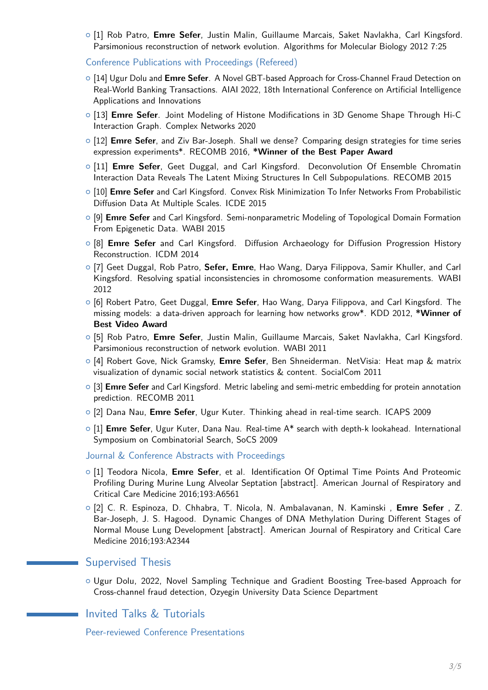{ [1] Rob Patro, **Emre Sefer**, Justin Malin, Guillaume Marcais, Saket Navlakha, Carl Kingsford. Parsimonious reconstruction of network evolution. Algorithms for Molecular Biology 2012 7:25

Conference Publications with Proceedings (Refereed)

- { [14] Ugur Dolu and **Emre Sefer**. A Novel GBT-based Approach for Cross-Channel Fraud Detection on Real-World Banking Transactions. AIAI 2022, 18th International Conference on Artificial Intelligence Applications and Innovations
- { [13] **Emre Sefer**. Joint Modeling of Histone Modifications in 3D Genome Shape Through Hi-C Interaction Graph. Complex Networks 2020
- { [12] **Emre Sefer**, and Ziv Bar-Joseph. Shall we dense? Comparing design strategies for time series expression experiments\*. RECOMB 2016, **\*Winner of the Best Paper Award**
- { [11] **Emre Sefer**, Geet Duggal, and Carl Kingsford. Deconvolution Of Ensemble Chromatin Interaction Data Reveals The Latent Mixing Structures In Cell Subpopulations. RECOMB 2015
- { [10] **Emre Sefer** and Carl Kingsford. Convex Risk Minimization To Infer Networks From Probabilistic Diffusion Data At Multiple Scales. ICDE 2015
- { [9] **Emre Sefer** and Carl Kingsford. Semi-nonparametric Modeling of Topological Domain Formation From Epigenetic Data. WABI 2015
- { [8] **Emre Sefer** and Carl Kingsford. Diffusion Archaeology for Diffusion Progression History Reconstruction. ICDM 2014
- { [7] Geet Duggal, Rob Patro, **Sefer, Emre**, Hao Wang, Darya Filippova, Samir Khuller, and Carl Kingsford. Resolving spatial inconsistencies in chromosome conformation measurements. WABI 2012
- { [6] Robert Patro, Geet Duggal, **Emre Sefer**, Hao Wang, Darya Filippova, and Carl Kingsford. The missing models: a data-driven approach for learning how networks grow\*. KDD 2012, **\*Winner of Best Video Award**
- { [5] Rob Patro, **Emre Sefer**, Justin Malin, Guillaume Marcais, Saket Navlakha, Carl Kingsford. Parsimonious reconstruction of network evolution. WABI 2011
- { [4] Robert Gove, Nick Gramsky, **Emre Sefer**, Ben Shneiderman. NetVisia: Heat map & matrix visualization of dynamic social network statistics & content. SocialCom 2011
- { [3] **Emre Sefer** and Carl Kingsford. Metric labeling and semi-metric embedding for protein annotation prediction. RECOMB 2011
- { [2] Dana Nau, **Emre Sefer**, Ugur Kuter. Thinking ahead in real-time search. ICAPS 2009
- { [1] **Emre Sefer**, Ugur Kuter, Dana Nau. Real-time A\* search with depth-k lookahead. International Symposium on Combinatorial Search, SoCS 2009

Journal & Conference Abstracts with Proceedings

- { [1] Teodora Nicola, **Emre Sefer**, et al. Identification Of Optimal Time Points And Proteomic Profiling During Murine Lung Alveolar Septation [abstract]. American Journal of Respiratory and Critical Care Medicine 2016;193:A6561
- { [2] C. R. Espinoza, D. Chhabra, T. Nicola, N. Ambalavanan, N. Kaminski , **Emre Sefer** , Z. Bar-Joseph, J. S. Hagood. Dynamic Changes of DNA Methylation During Different Stages of Normal Mouse Lung Development [abstract]. American Journal of Respiratory and Critical Care Medicine 2016;193:A2344

### Supervised Thesis

{ Ugur Dolu, 2022, Novel Sampling Technique and Gradient Boosting Tree-based Approach for Cross-channel fraud detection, Ozyegin University Data Science Department

### Invited Talks & Tutorials

Peer-reviewed Conference Presentations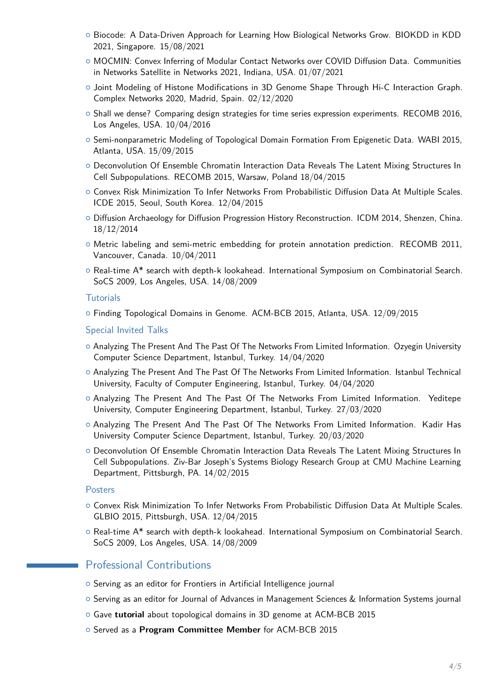- { Biocode: A Data-Driven Approach for Learning How Biological Networks Grow. BIOKDD in KDD 2021, Singapore. 15/08/2021
- { MOCMIN: Convex Inferring of Modular Contact Networks over COVID Diffusion Data. Communities in Networks Satellite in Networks 2021, Indiana, USA. 01/07/2021
- { Joint Modeling of Histone Modifications in 3D Genome Shape Through Hi-C Interaction Graph. Complex Networks 2020, Madrid, Spain. 02/12/2020
- $\circ$  Shall we dense? Comparing design strategies for time series expression experiments. RECOMB 2016, Los Angeles, USA. 10/04/2016
- { Semi-nonparametric Modeling of Topological Domain Formation From Epigenetic Data. WABI 2015, Atlanta, USA. 15/09/2015
- o Deconvolution Of Ensemble Chromatin Interaction Data Reveals The Latent Mixing Structures In Cell Subpopulations. RECOMB 2015, Warsaw, Poland 18/04/2015
- $\circ$  Convex Risk Minimization To Infer Networks From Probabilistic Diffusion Data At Multiple Scales. ICDE 2015, Seoul, South Korea. 12/04/2015
- $\circ$  Diffusion Archaeology for Diffusion Progression History Reconstruction. ICDM 2014, Shenzen, China. 18/12/2014
- $\circ$  Metric labeling and semi-metric embedding for protein annotation prediction. RECOMB 2011, Vancouver, Canada. 10/04/2011
- $\circ$  Real-time A\* search with depth-k lookahead. International Symposium on Combinatorial Search. SoCS 2009, Los Angeles, USA. 14/08/2009

### **Tutorials**

{ Finding Topological Domains in Genome. ACM-BCB 2015, Atlanta, USA. 12/09/2015

- Special Invited Talks
- { Analyzing The Present And The Past Of The Networks From Limited Information. Ozyegin University Computer Science Department, Istanbul, Turkey. 14/04/2020
- { Analyzing The Present And The Past Of The Networks From Limited Information. Istanbul Technical University, Faculty of Computer Engineering, Istanbul, Turkey. 04/04/2020
- o Analyzing The Present And The Past Of The Networks From Limited Information. Yeditepe University, Computer Engineering Department, Istanbul, Turkey. 27/03/2020
- $\circ$  Analyzing The Present And The Past Of The Networks From Limited Information. Kadir Has University Computer Science Department, Istanbul, Turkey. 20/03/2020
- $\circ$  Deconvolution Of Ensemble Chromatin Interaction Data Reveals The Latent Mixing Structures In Cell Subpopulations. Ziv-Bar Joseph's Systems Biology Research Group at CMU Machine Learning Department, Pittsburgh, PA. 14/02/2015

### **Posters**

- o Convex Risk Minimization To Infer Networks From Probabilistic Diffusion Data At Multiple Scales. GLBIO 2015, Pittsburgh, USA. 12/04/2015
- o Real-time A\* search with depth-k lookahead. International Symposium on Combinatorial Search. SoCS 2009, Los Angeles, USA. 14/08/2009

### **Professional Contributions**

- { Serving as an editor for Frontiers in Artificial Intelligence journal
- o Serving as an editor for Journal of Advances in Management Sciences & Information Systems journal
- { Gave **tutorial** about topological domains in 3D genome at ACM-BCB 2015
- { Served as a **Program Committee Member** for ACM-BCB 2015